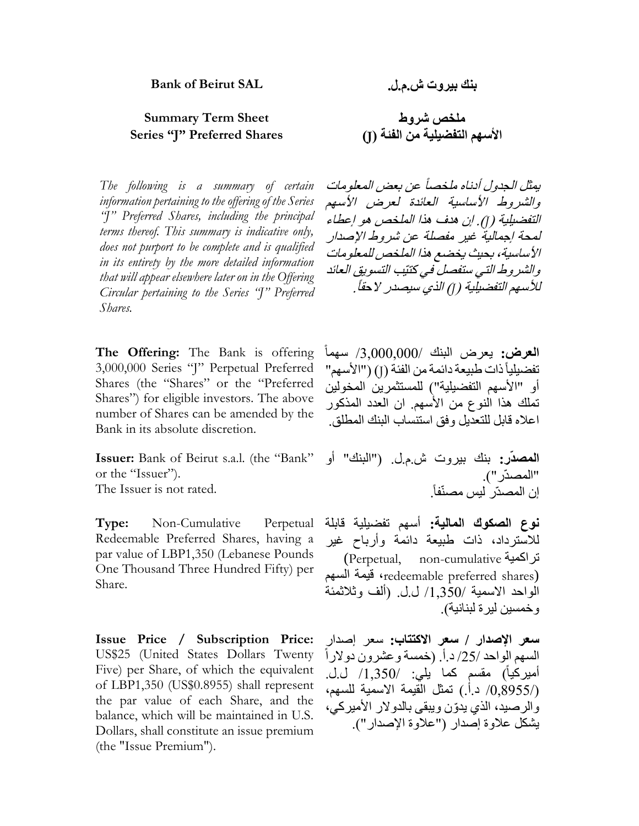# **Summary Term Sheet شروط ملخص Series "J" Preferred Shares )J( الفئة من التفضيلية األسهم**

*The following is a summary of certain information pertaining to the offering of the Series "J" Preferred Shares, including the principal terms thereof. This summary is indicative only, does not purport to be complete and is qualified in its entirety by the more detailed information that will appear elsewhere later on in the Offering Circular pertaining to the Series "J" Preferred Shares.*

**The Offering:** The Bank is offering 3,000,000 Series "J" Perpetual Preferred Shares (the "Shares" or the "Preferred Shares") for eligible investors. The above number of Shares can be amended by the Bank in its absolute discretion.

**Issuer:** Bank of Beirut s.a.l. (the "Bank" or the "Issuer").

The Issuer is not rated.

**Type:** Non-Cumulative Perpetual Redeemable Preferred Shares, having a par value of LBP1,350 (Lebanese Pounds One Thousand Three Hundred Fifty) per Share.

**Issue Price / Subscription Price:** US\$25 (United States Dollars Twenty Five) per Share, of which the equivalent of LBP1,350 (US\$0.8955) shall represent the par value of each Share, and the balance, which will be maintained in U.S. Dollars, shall constitute an issue premium (the "Issue Premium").

يمثل الجدول أدناه ملخصا عن بعض المعلومات والشروط الأساسية العائدة لعرض الأسهم التفضيلية )*J*). إن هدف هذا الملخص هو إعطاء لمحة إجمالية غير مفصلة عن شروط اإلصدار األساسية، بحيث يخضع هذا الملخص للمعلومات والشروط التي ستفصل في كتيّب التسويق العائد للأسهم التفضيلية (J) الذي سيصدر لاحقاً .

ا**لـعرض:** يعرض البنك /3,000,000/ سهماً تفضيلياً ذات طبيعة دائمة من الفئة (J) ("الأسهم" أو "األسهم التفضيلية"( للمستثمرين المخولين تملك هذا النوع من األسهم. ان العدد المذكور اعاله قابل للتعديل وفق استنساب البنك المطلق.

**المصدّر:** بنك بيروت ش.م.ل. )"البنك" أو "المصدّر "). . إن المصدّر ليس مصنّفا

**نوع الصكوك المالية:** أسهم تفضيلية قابلة لالسترداد، ذات طبيعة دائمة وأرباح غير (Perpetual, non-cumulative تراكمية السهم قيمة ،redeemable preferred shares) الواحد الاسمية /1٫350/ ل.ل. (ألف وثلاثمئة وخمسين ليرة لبنانية).

**سعر اإلصدار / سعر االكتتاب:** سعر إصدار السهم الواحد /25/ د.أ. (خمسة وعشرون دولاراً أميركياً) مقسم كما يلي: /1,350/ ل.ل. )/300933/ د.أ.( تمثل القيمة االسمية للسهم، والرصيد، الذي يدّون ويبقى بالدوالر األميركي، يشكل عالوة إصدار )"عالوة اإلصدار"(.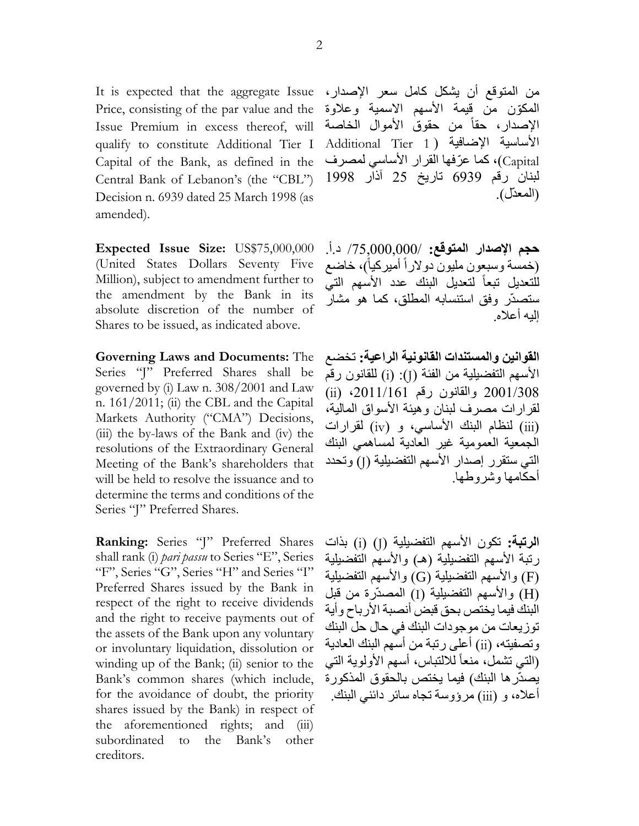It is expected that the aggregate Issue Price, consisting of the par value and the Issue Premium in excess thereof, will qualify to constitute Additional Tier I Capital of the Bank, as defined in the Central Bank of Lebanon's (the "CBL") Decision n. 6939 dated 25 March 1998 (as amended).

**Expected Issue Size:** US\$75,000,000 (United States Dollars Seventy Five Million), subject to amendment further to the amendment by the Bank in its absolute discretion of the number of Shares to be issued, as indicated above.

**Governing Laws and Documents:** The Series "J" Preferred Shares shall be governed by (i) Law n. 308/2001 and Law n. 161/2011; (ii) the CBL and the Capital Markets Authority ("CMA") Decisions, (iii) the by-laws of the Bank and (iv) the resolutions of the Extraordinary General Meeting of the Bank's shareholders that will be held to resolve the issuance and to determine the terms and conditions of the Series "J" Preferred Shares.

**Ranking:** Series "J" Preferred Shares shall rank (i) *pari passu* to Series "E", Series "F", Series "G", Series "H" and Series "I" Preferred Shares issued by the Bank in respect of the right to receive dividends and the right to receive payments out of the assets of the Bank upon any voluntary or involuntary liquidation, dissolution or winding up of the Bank; (ii) senior to the Bank's common shares (which include, for the avoidance of doubt, the priority shares issued by the Bank) in respect of the aforementioned rights; and (iii) subordinated to the Bank's other creditors.

من المتوقع أن يشكل كامل سعر اإلصدار، المكوّن من قيمة الأسهم الاسمية وعلاوة الإصدار، حقاً من حقوق الأموال الخاصة األساسية اإلضافية ) 1 Tier Additional Capital)، كما عرّفها القرار الأساسي لمصرف لبنان رقم 9909 تاريخ 53 آذار 1990 (المعدّل)

**حجم اإلصدار المتوقع:** /5303330333/ د.أ. (خمسة وسبعون مليون دولاراً أميركياً)، خاضع للتعديل تبعاً لتعديل البنك عدد الأسهم التي ستصدّر وفق استنسابه المطلق، كما هو مشار إليه أعاله.

**القوانين والمستندات القانونية الراعية:** تخضع األسهم التفضيلية من الفئة )J):( i )للقانون رقم 5331/030 والقانون رقم ،5311/191 )ii ) لقرارات مصرف لبنان وهيئة األسواق المالية، )iii )لنظام البنك األساسي، و )iv )لقرارات الجمعية العمومية غير العادية لمساهمي البنك التي ستقرر إصدار الأسهم التفضيلية (J) وتحدد أحكامها وشروطها.

ا**لرتبة:** تكون الأسهم التفضيلية (J) (i) بذات رتبة الأسهم التفضيلية (هـ) والأسهم التفضيلية )F )واألسهم التفضيلية )G )واألسهم التفضيلية )H )واألسهم التفضيلية )I )المصدّرة من قبل البنك فيما يختص بحق قبض أنصبة األرباح وأية توزيعات من موجودات البنك في حال حل البنك وتصفيته، )ii )أعلى رتبة من أسهم البنك العادية (التي تشمل، منعاً للالنباس، أسهم الأولوية التي يصدّرها البنك) فيما يختص بالحقوق المذكورة أعاله، و )iii )مرؤوسة تجاه سائر دائني البنك.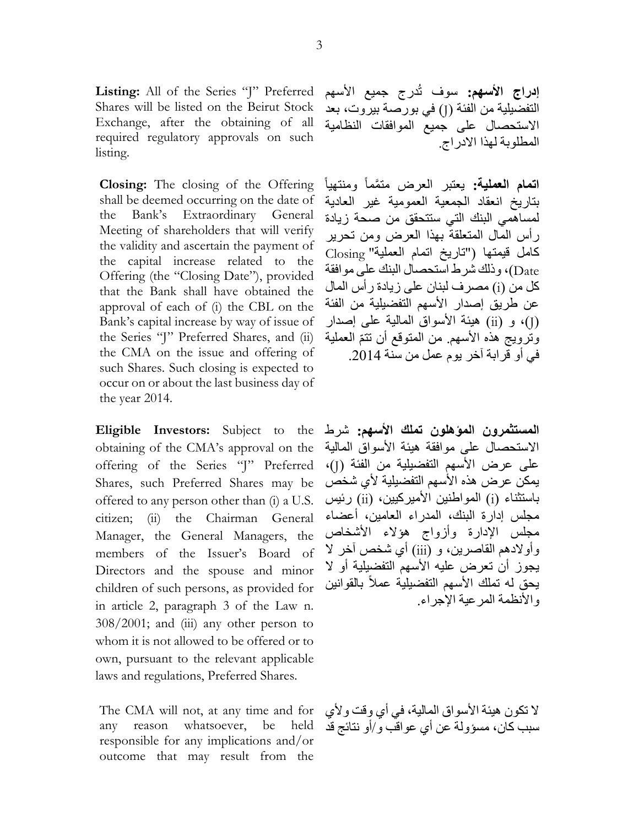Listing: All of the Series "J" Preferred Shares will be listed on the Beirut Stock Exchange, after the obtaining of all required regulatory approvals on such listing.

**Closing:** The closing of the Offering shall be deemed occurring on the date of the Bank's Extraordinary General Meeting of shareholders that will verify the validity and ascertain the payment of the capital increase related to the Offering (the "Closing Date"), provided that the Bank shall have obtained the approval of each of (i) the CBL on the Bank's capital increase by way of issue of the Series "J" Preferred Shares, and (ii) the CMA on the issue and offering of such Shares. Such closing is expected to occur on or about the last business day of the year 2014.

**Eligible Investors:** Subject to the obtaining of the CMA's approval on the offering of the Series "J" Preferred Shares, such Preferred Shares may be offered to any person other than (i) a U.S. citizen; (ii) the Chairman General Manager, the General Managers, the members of the Issuer's Board of Directors and the spouse and minor children of such persons, as provided for in article 2, paragraph 3 of the Law n.  $308/2001$ ; and (iii) any other person to whom it is not allowed to be offered or to own, pursuant to the relevant applicable laws and regulations, Preferred Shares.

The CMA will not, at any time and for any reason whatsoever, be held responsible for any implications and/or outcome that may result from the

**إدراج الأسهم:** سوف تُدرج جميع الأسهم التفضيلية من الفئة )J )في بورصة بيروت، بعد االستحصال على جميع الموافقات النظامية المطلوبة لهذا االدراج.

مت َّمما ومنتهيا **اتمام العملية:** يعتبر العرض بتاريخ انعقاد الجمعية العمومية غير العادية لمساهمي البنك التي ستتحقق من صحة زيادة رأس المال المتعلقة بهذا العرض ومن تحرير كامل قيمتها )"تاريخ اتمام العملية" Closing Date)، وذلك شرط استحصال البنك على موافقة كل من )i )مصرف لبنان على زيادة رأس المال عن طريق إصدار الأسهم التفضيلية من الفئة )J)، و )ii )هيئة األسواق المالية على إصدار وترويج هذه الأسهم ِ من المتوقع أن تتمّ العملية في أو قرابة آخر يوم عمل من سنة 2014.

**المستثمرون المؤهلون تملك األسهم:** شرط االستحصال على موافقة هيئة األسواق المالية على عرض األسهم التفضيلية من الفئة )J)، يمكن عرض هذه الأسهم التفضيلية لأي شخص باستثناء )i )المواطنين األميركيين، )ii )رئيس مجلس إدارة البنك، المدراء العامين، أعضاء مجلس اإلدارة وأزواج هؤالء األشخاص وأولادهم القاصرين، و (iii) أي شخص آخر لا يجوز أن تعرض عليه الأسهم التفضيلية أو لا يحق له تملك الأسهم التفضيلية عملاً بالقوانين والأنظمة المرعية الإجراء

ال تكون هيئة األسواق المالية، في أي وقت وألي سبب كان، مسؤولة عن أي عواقب و/أو نتائج قد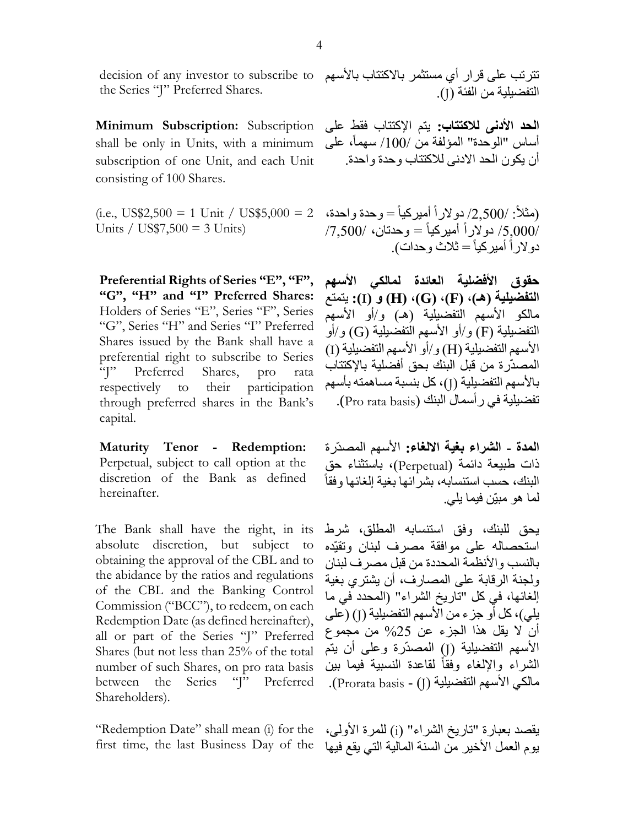decision of any investor to subscribe to the Series "J" Preferred Shares.

**Minimum Subscription:** Subscription shall be only in Units, with a minimum subscription of one Unit, and each Unit consisting of 100 Shares.

Units / US\$7,500 = 3 Units)

**Preferential Rights of Series "E", "F", "G", "H" and "I" Preferred Shares:** Holders of Series "E", Series "F", Series "G", Series "H" and Series "I" Preferred Shares issued by the Bank shall have a preferential right to subscribe to Series "J" Preferred Shares, pro rata respectively to their participation through preferred shares in the Bank's capital.

**Maturity Tenor - Redemption:** Perpetual, subject to call option at the discretion of the Bank as defined hereinafter.

The Bank shall have the right, in its absolute discretion, but subject to obtaining the approval of the CBL and to the abidance by the ratios and regulations of the CBL and the Banking Control Commission ("BCC"), to redeem, on each Redemption Date (as defined hereinafter), all or part of the Series "J" Preferred Shares (but not less than 25% of the total number of such Shares, on pro rata basis between the Series "J" Preferred Shareholders).

"Redemption Date" shall mean (i) for the first time, the last Business Day of the

تترتب على قرار أي مستثمر باالكتتاب باألسهم التفضيلية من الفئة )J).

**الحد األدنى لالكتتاب:** يتم اإلكتتاب فقط على أساس "الوحدة" المؤلفة من /100/ سهماً، على أن يكون الحد االدنى لالكتتاب وحدة واحدة.

(i.e., US\$2,500 = 1 Unit / US\$5,000 = 2 أميركيا = وحدة واحدة، )مثال : /50333/ دوالرا  $/7,500/$  دولاراً أميركياً $\epsilon = 2.500/$ دولاراً أميركياً = ثلاث وحدات).

> **حقوق األفضلية العائدة لمالكي األسهم التفضيلية )هـ(، )F)،( G)،( H )و )I):** يتمتع مالكو الأسهم التفضيلية (هـ) و/أو الأسهم التفضيلية (F) و/أو الأسهم التفضيلية (G) و/أو الأسهم التفضيلية (H) و/أو الأسهم التفضيلية (I) المصدّرة من قبل البنك بحق أفضلية باإلكتتاب بالأسهم التفضيلية (J)، كل بنسبة مساهمته بأسهم تفضيلية في ر أسمال البنك (Pro rata basis).

> **المدة - الشراء بغية االلغاء:** األسهم المصدّرة ذات طبيعة دائمة )Perpetual)، باستثناء حق البنك، حسب استنسابه، بشرائها بغية إلغائها وفقا لما هو مبيّن فيما يلي.

> يحق للبنك، وفق استنسابه المطلق، شرط استحصاله على موافقة مصرف لبنان وتقيّده بالنسب والأنظمة المحددة من قبل مصر ف لبنان ولجنة الرقابة على المصارف، أن يشتري بغية إلغائها، في كل "تاريخ الشراء" )المحدد في ما يلي)، كل أو جزء من الأسهم التفضيلية (J) (على أن ال يقل هذا الجزء عن %53 من مجموع الأسهم التفضيلية (J) المصدّرة وعلى أن يتم الشراء والإلغاء وفقاً لقاعدة النسبية فيما بين مالكي الأسهم التفضيلية (J) - Prorata basis).

> يقصد بعبارة "تاريخ الشراء" (i) للمرة الأولى، يوم العمل الأخير من السنة المالية التي يقع فيها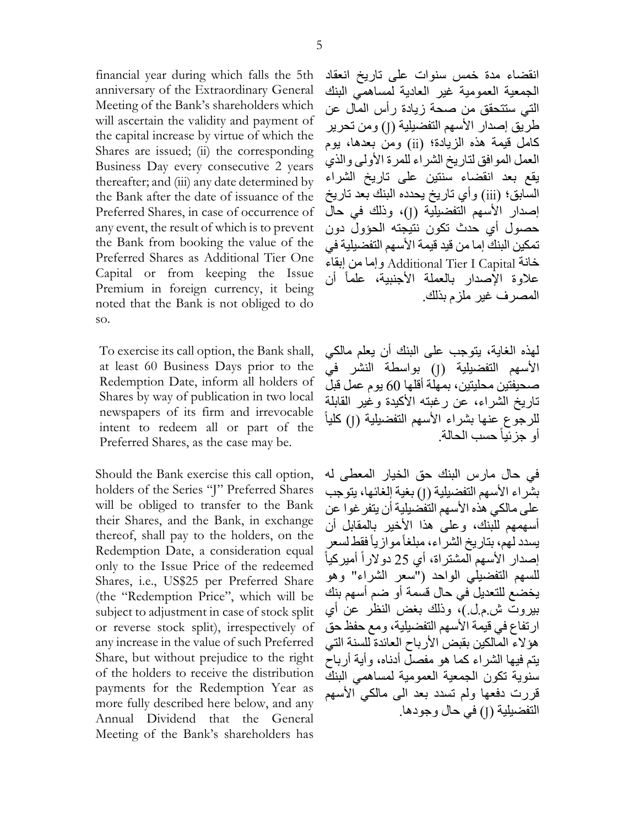financial year during which falls the 5th anniversary of the Extraordinary General Meeting of the Bank's shareholders which will ascertain the validity and payment of the capital increase by virtue of which the Shares are issued; (ii) the corresponding Business Day every consecutive 2 years thereafter; and (iii) any date determined by the Bank after the date of issuance of the Preferred Shares, in case of occurrence of any event, the result of which is to prevent the Bank from booking the value of the Preferred Shares as Additional Tier One Capital or from keeping the Issue Premium in foreign currency, it being noted that the Bank is not obliged to do so.

To exercise its call option, the Bank shall, at least 60 Business Days prior to the Redemption Date, inform all holders of Shares by way of publication in two local newspapers of its firm and irrevocable intent to redeem all or part of the Preferred Shares, as the case may be.

Should the Bank exercise this call option, holders of the Series "J" Preferred Shares will be obliged to transfer to the Bank their Shares, and the Bank, in exchange thereof, shall pay to the holders, on the Redemption Date, a consideration equal only to the Issue Price of the redeemed Shares, i.e., US\$25 per Preferred Share (the "Redemption Price", which will be subject to adjustment in case of stock split or reverse stock split), irrespectively of any increase in the value of such Preferred Share, but without prejudice to the right of the holders to receive the distribution payments for the Redemption Year as more fully described here below, and any Annual Dividend that the General Meeting of the Bank's shareholders has

انقضاء مدة خمس سنوات على تاريخ انعقاد الجمعية العمومية غير العادية لمساهمي البنك التي ستتحقق من صحة زيادة رأس المال عن طريق إصدار الأسهم التفضيلية (J) ومن تحرير كامل قيمة هذه الزيادة؛ (ii) ومن بعدها، يوم العمل الموافق لتاريخ الشراء للمرة األولى والذي يقع بعد انقضاء سنتين على تاريخ الشراء السابق؛ (iii) وأي تاريخ يحدده البنك بعد تاريخ إصدار الأسهم التفضيلية (J)، وذلك في حال حصول أي حدث تكون نتيجته الحؤول دون تمكين البنك إما من قيد قيمة الأسهم التفضيلية في خانة Capital I Tier Additional وإما من إبقاء عالوة اإلصدار بالعملة األجنبية، علما أن المصرف غير ملزم بذلك.

لهذه الغاية، يتوجب على البنك أن يعلم مالكي الأسهم التفضيلية (J) بواسطة النشر في صحيفتين محليتين، بمهلة أقلها 93 يوم عمل قبل تاريخ الشراء، عن رغبته الأكيدة وغير القابلة للرجوع عنها بشراء الأسهم التفضيلية (J) كلياً أو جزئيا حسب الحالة.

في حال مارس البنك حق الخيار المعطى له بشراء الأسهم التفضيلية (J) بغية إلغائها، يتوجب على مالكي هذه الأسهم التفضيلية أن يتفر غو ا عن أسهمهم للبنك، وعلى هذا األخير بالمقابل أن يسدد لهم، بتاريخ الشراء، مبلغاً موازياً فقط لسعر إصدار الأسهم المشتراة، أي 25 دولاراً أميركياً للسهم التفضيلي الواحد )"سعر الشراء" وهو يخضع للتعديل في حال قسمة أو ضم أسهم بنك بيروت ش.م.ل.(، وذلك بغض النظر عن أي ارتفاع في قيمة الأسهم التفضيلية، ومع حفظ حق هؤلاء المالكين بقبض الأرباح العائدة للسنة التي يتم فيها الشراء كما هو مفصل أدناه، وأية أرباح سنوية تكون الجمعية العمومية لمساهمي البنك قررت دفعها ولم تسدد بعد الى مالكي الأسهم التفضيلية (J) في حال وجودها.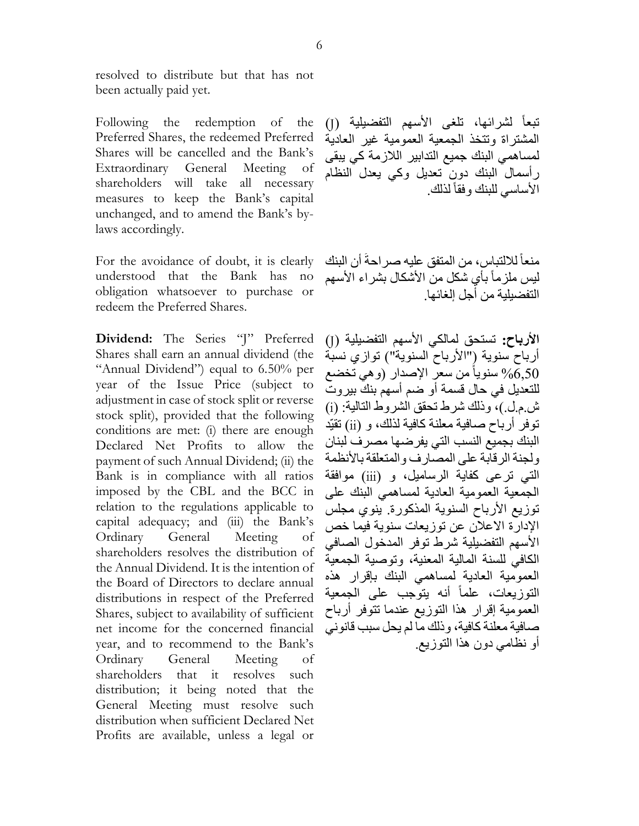resolved to distribute but that has not been actually paid yet.

Following the redemption of the Preferred Shares, the redeemed Preferred Shares will be cancelled and the Bank's Extraordinary General Meeting of shareholders will take all necessary measures to keep the Bank's capital unchanged, and to amend the Bank's bylaws accordingly.

For the avoidance of doubt, it is clearly understood that the Bank has no obligation whatsoever to purchase or redeem the Preferred Shares.

**Dividend:** The Series "J" Preferred Shares shall earn an annual dividend (the "Annual Dividend") equal to 6.50% per year of the Issue Price (subject to adjustment in case of stock split or reverse stock split), provided that the following conditions are met: (i) there are enough Declared Net Profits to allow the payment of such Annual Dividend; (ii) the Bank is in compliance with all ratios imposed by the CBL and the BCC in relation to the regulations applicable to capital adequacy; and (iii) the Bank's Ordinary General Meeting of shareholders resolves the distribution of the Annual Dividend. It is the intention of the Board of Directors to declare annual distributions in respect of the Preferred Shares, subject to availability of sufficient net income for the concerned financial year, and to recommend to the Bank's Ordinary General Meeting of shareholders that it resolves such distribution; it being noted that the General Meeting must resolve such distribution when sufficient Declared Net Profits are available, unless a legal or

تبعاً لشرائها، تلغى الأسهم التفضيلية (J) المشتراة وتتخذ الجمعية العمومية غير العادية لمساهمي البنك جميع التدابير الالزمة كي يبقى رأسمال البنك دون تعديل وكي يعدل النظام الأساسي للبنك وفقاً لذلك

منعاً للالتباس، من المتفق عليه صر احةً أن البنك ليس ملزماً بأي شكل من الأشكال بشراء الأسهم التفضيلية من أجل إلغائها.

الأرباح: تستحق لمالكي الأسهم التفضيلية (J) أرباح سنوية ("الأرباح السنوية") توازي نسبة سنوياً من سعر الإصدار (و هي تخضع » للتعديل في حال قسمة أو ضم أسهم بنك بيروت ش.م.ل.(، وذلك شرط تحقق الشروط التالية: )i ) توفر أرباح صافية معلنة كافية لذلك، و )ii )تقيّد البنك بجميع النسب التي يفرضها مصرف لبنان ولجنة الرقابة على المصار ف و المتعلقة بالأنظمة التي ترعى كفاية الرساميل، و (jii) موافقة الجمعية العمومية العادية لمساهمي البنك على توزيع الأرباح السنوية المذكورة. ينوي مجلس اإلدارة االعالن عن توزيعات سنوية فيما خص األسهم التفضيلية شرط توفر المدخول الصافي الكافي للسنة المالية المعنية، وتوصية الجمعية العمومية العادية لمساهمي البنك بإقرار هذه التوزيعات، علماً أنه يتوّجب على الجمعية العمومية إقرار هذا التوزيع عندما تتوفر أرباح صافية معلنة كافية، وذلك ما لم يحل سبب قانوني أو نظامي دون هذا التوزيع.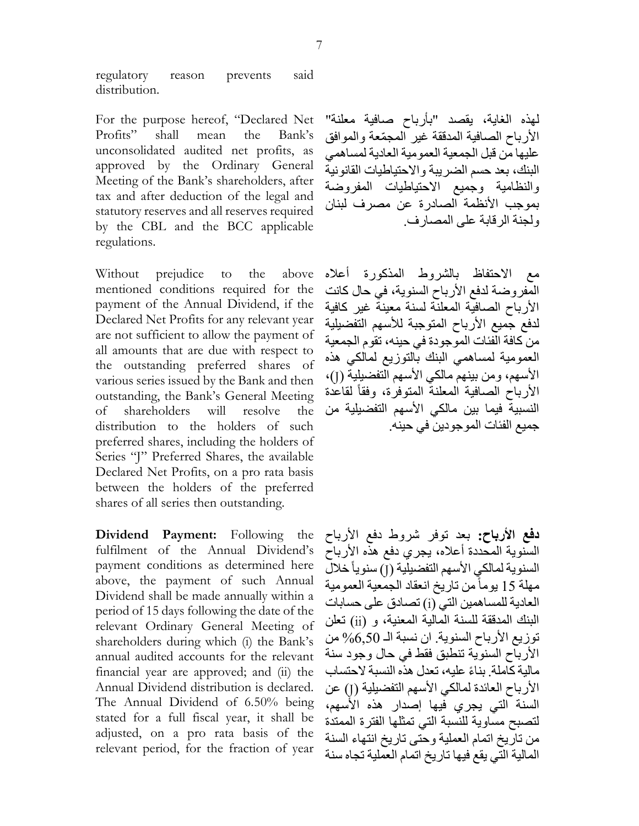regulatory reason prevents said distribution.

For the purpose hereof, "Declared Net Profits" shall mean the Bank's unconsolidated audited net profits, as approved by the Ordinary General Meeting of the Bank's shareholders, after tax and after deduction of the legal and statutory reserves and all reserves required by the CBL and the BCC applicable regulations.

Without prejudice to the above mentioned conditions required for the payment of the Annual Dividend, if the Declared Net Profits for any relevant year are not sufficient to allow the payment of all amounts that are due with respect to the outstanding preferred shares of various series issued by the Bank and then outstanding, the Bank's General Meeting of shareholders will resolve the distribution to the holders of such preferred shares, including the holders of Series "J" Preferred Shares, the available Declared Net Profits, on a pro rata basis between the holders of the preferred shares of all series then outstanding.

**Dividend Payment:** Following the fulfilment of the Annual Dividend's payment conditions as determined here above, the payment of such Annual Dividend shall be made annually within a period of 15 days following the date of the relevant Ordinary General Meeting of shareholders during which (i) the Bank's annual audited accounts for the relevant financial year are approved; and (ii) the Annual Dividend distribution is declared. The Annual Dividend of 6.50% being stated for a full fiscal year, it shall be adjusted, on a pro rata basis of the relevant period, for the fraction of year

لهذه الغاية، يقصد "بأرباح صافية معلنة" الأرباح الصافية المدققة غير المجمّعة والموافق عليها من قبل الجمعية العمومية العادية لمساهمي البنك، بعد حسم الضريبة واالحتياطيات القانونية والنظامية وجميع االحتياطيات المفروضة بموجب األنظمة الصادرة عن مصرف لبنان ولجنة الرقابة على المصارف.

مع االحتفاظ بالشروط المذكورة أعاله المفروضة لدفع األرباح السنوية، في حال كانت األرباح الصافية المعلنة لسنة معينة غير كافية لدفع جميع األرباح المتوجبة لألسهم التفضيلية من كافة الفئات الموجودة في حينه، تقوم الجمعية العمومية لمساهمي البنك بالتوزيع لمالكي هذه الأسهم، ومن بينهم مالكي الأسهم التفضيلية (J)، الأرباح الصافية المعلنة المتوفرة، وفقاً لقاعدة النسبية فيما بين مالكي الأسهم التفضيلية من جميع الفئات الموجودين في حينه.

**دفع األرباح:** بعد توفر شروط دفع األرباح السنوية المحددة أعلاه، يجري دفع هذه الأرباح السنوية لمالكي الأسهم التفضيلية (J) سنوياً خلال مهلة 13 يوما من تاريخ انعقاد الجمعية العمومية العادية للمساهمين التي (i) تصادق على حسابات البنك المدققة للسنة المالية المعنية، و )ii )تعلن توزيع الأرباح السنوية. ان نسبة الـ 6,50% من األرباح السنوية تنطبق فقط في حال وجود سنة مالية كاملة. بناءً عليه، تعدل هذه النسبة لاحتساب الأرباح العائدة لمالكي الأسهم التفضيلية (J) عن السنة التي يجري فيها إصدار هذه األسهم، لتصبح مساوية للنسبة التي تمثلها الفترة الممتدة من تاريخ اتمام العملية وحتى تاريخ انتهاء السنة المالية التي يقع فيها تاريخ اتمام العملية تجاه سنة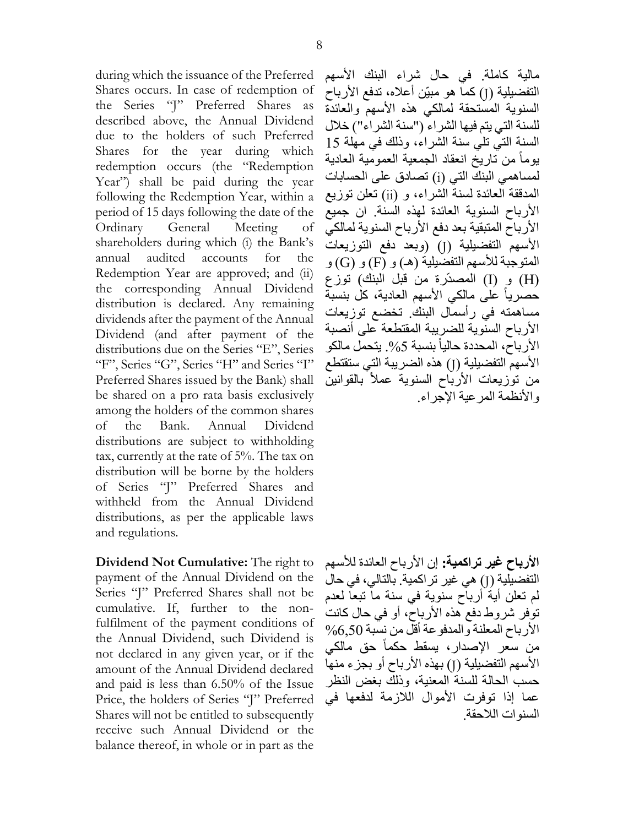during which the issuance of the Preferred Shares occurs. In case of redemption of the Series "J" Preferred Shares as described above, the Annual Dividend due to the holders of such Preferred Shares for the year during which redemption occurs (the "Redemption Year") shall be paid during the year following the Redemption Year, within a period of 15 days following the date of the Ordinary General Meeting of shareholders during which (i) the Bank's annual audited accounts for the Redemption Year are approved; and (ii) the corresponding Annual Dividend distribution is declared. Any remaining dividends after the payment of the Annual Dividend (and after payment of the distributions due on the Series "E", Series "F", Series "G", Series "H" and Series "I" Preferred Shares issued by the Bank) shall be shared on a pro rata basis exclusively among the holders of the common shares of the Bank. Annual Dividend distributions are subject to withholding tax, currently at the rate of 5%. The tax on distribution will be borne by the holders of Series "J" Preferred Shares and withheld from the Annual Dividend distributions, as per the applicable laws and regulations.

**Dividend Not Cumulative:** The right to payment of the Annual Dividend on the Series "J" Preferred Shares shall not be cumulative. If, further to the nonfulfilment of the payment conditions of the Annual Dividend, such Dividend is not declared in any given year, or if the amount of the Annual Dividend declared and paid is less than 6.50% of the Issue Price, the holders of Series "J" Preferred Shares will not be entitled to subsequently receive such Annual Dividend or the balance thereof, in whole or in part as the

مالية كاملة. في حال شراء البنك األسهم التفضيلية (J) كما هو مبيّن أعلاه، تدفع الأرباح السنوية المستحقة لمالكي هذه األسهم والعائدة للسنة التي يتم فيها الشراء )"سنة الشراء"( خالل السنة التي تلي سنة الشراء، وذلك في مهلة 13 يوما من تاريخ انعقاد الجمعية العمومية العادية لمساهمي البنك التي (i) تصادق على الحسابات المدققة العائدة لسنة الشراء، و )ii )تعلن توزيع األرباح السنوية العائدة لهذه السنة. ان جميع الأرباح المتبقية بعد دفع الأرباح السنوية لمالكي الأسهم التفضيلية (J) (وبعد دفع التوزيعات المتوجبة للأسهم التفضيلية (هـ) و (F) و (G) و )H )و )I )المصدّرة من قبل البنك( توزع حصريا على مالكي األسهم العادية، كل بنسبة مساهمته في رأسمال البنك. تخضع توزيعات األرباح السنوية للضريبة المقتطعة على أنصبة الأرباح، المحددة حالياً بنسبة 5%. يتحمل مالكو الأسهم التفضيلية (J) هذه الضريبة التي ستقتطع من توزيعات الأرباح السنوية عملاً بالقوانين والأنظمة المرعية الإجراء.

**األرباح غير تراكمية:** إن األرباح العائدة لألسهم التفضيلية (J) هي غير تراكمية. بالتالي، في حال لم تعلن أية أرباح سنوية في سنة ما تبعا لعدم توفر شروط دفع هذه األرباح، أو في حال كانت األرباح المعلنة والمدفوعة أقل من نسبة %9033 من سعر اإلصدار، يسقط حكما حق مالكي الأسهم التفضيلية (J) بهذه الأرباح أو بجزء منها حسب الحالة للسنة المعنية، وذلك بغض النظر عما إذا توفرت الأموال اللازمة لدفعها في السنوات الالحقة.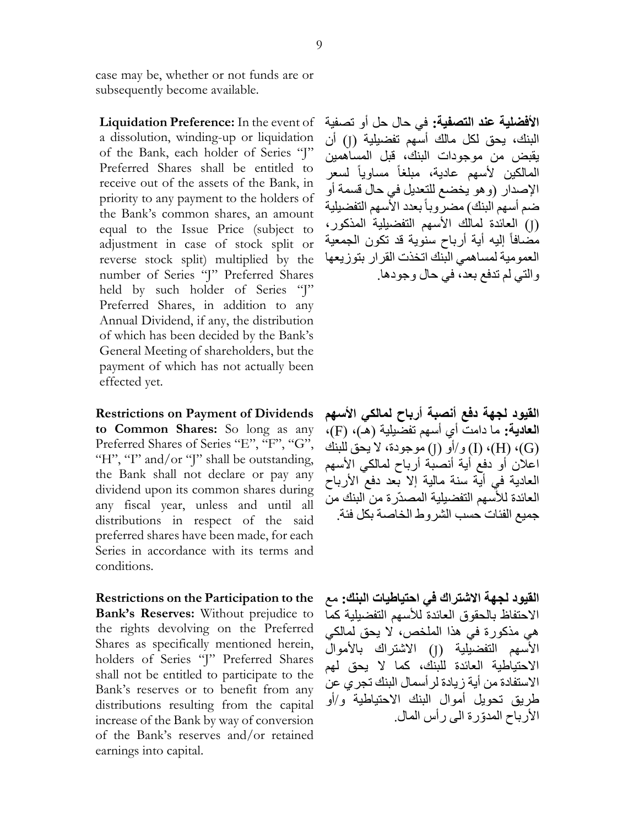case may be, whether or not funds are or subsequently become available.

**Liquidation Preference:** In the event of a dissolution, winding-up or liquidation of the Bank, each holder of Series "J" Preferred Shares shall be entitled to receive out of the assets of the Bank, in priority to any payment to the holders of the Bank's common shares, an amount equal to the Issue Price (subject to adjustment in case of stock split or reverse stock split) multiplied by the number of Series "J" Preferred Shares held by such holder of Series "J" Preferred Shares, in addition to any Annual Dividend, if any, the distribution of which has been decided by the Bank's General Meeting of shareholders, but the payment of which has not actually been effected yet.

**Restrictions on Payment of Dividends to Common Shares:** So long as any Preferred Shares of Series "E", "F", "G", "H", "I" and/or "J" shall be outstanding, the Bank shall not declare or pay any dividend upon its common shares during any fiscal year, unless and until all distributions in respect of the said preferred shares have been made, for each Series in accordance with its terms and conditions.

**Restrictions on the Participation to the Bank's Reserves:** Without prejudice to the rights devolving on the Preferred Shares as specifically mentioned herein, holders of Series "J" Preferred Shares shall not be entitled to participate to the Bank's reserves or to benefit from any distributions resulting from the capital increase of the Bank by way of conversion of the Bank's reserves and/or retained earnings into capital.

**األفضلية عند التصفية:** في حال حل أو تصفية البنك، يحق لكل مالك أسهم تفضيلية (J) أن يقبض من موجودات البنك، قبل المساهمين المالكين لأسهم عادية، مبلغاً مساوياً لسعر اإلصدار )وهو يخضع للتعديل في حال قسمة أو ضم أسهم البنك) مضرّروباً بعدد الأسهم التفضيلية )J )العائدة لمالك األسهم التفضيلية المذكور، مُضَّـافاً إليه أية أرباح سنوية قد تكون الجمعية العمومية لمساهمي البنك اتخذت القرار بتوزيعها والتي لم تدفع بعد، في حال وجودها.

**القيود لجهة دفع أنصبة أرباح لمالكي األسهم العادية:** ما دامت أي أسهم تفضيلية )هـ(، )F)، )G)،( H)،( I )و/أو )J )موجودة، ال يحق للبنك اعلان أو دفع أية أنصبة أرباح لمالكي الأسهم العادية في أية سنة مالية إال بعد دفع األرباح العائدة لألسهم التفضيلية المصدّرة من البنك من جميع الفئات حسب الشروط الخاصة بكل فئة.

**القيود لجهة االشتراك في احتياطيات البنك:** مع االحتفاظ بالحقوق العائدة لألسهم التفضيلية كما هي مذكورة في هذا الملخص، ال يحق لمالكي الأسهم التفضيلية (J) الاشتراك بالأموال االحتياطية العائدة للبنك، كما ال يحق لهم االستفادة من أية زيادة لرأسمال البنك تجري عن طريق تحويل أموال البنك االحتياطية و/أو األرباح المدّورة الى رأس المال.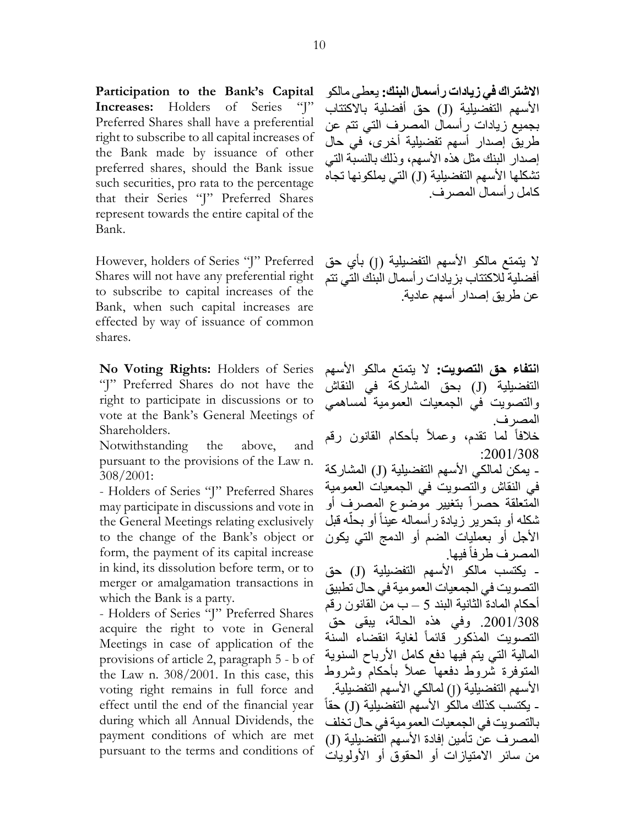**Participation to the Bank's Capital Increases:** Holders of Series "J" Preferred Shares shall have a preferential right to subscribe to all capital increases of the Bank made by issuance of other preferred shares, should the Bank issue such securities, pro rata to the percentage that their Series "J" Preferred Shares represent towards the entire capital of the Bank.

However, holders of Series "J" Preferred Shares will not have any preferential right to subscribe to capital increases of the Bank, when such capital increases are effected by way of issuance of common shares.

**No Voting Rights:** Holders of Series "J" Preferred Shares do not have the right to participate in discussions or to vote at the Bank's General Meetings of Shareholders.

Notwithstanding the above, and pursuant to the provisions of the Law n. 308/2001:

- Holders of Series "J" Preferred Shares may participate in discussions and vote in the General Meetings relating exclusively to the change of the Bank's object or form, the payment of its capital increase in kind, its dissolution before term, or to merger or amalgamation transactions in which the Bank is a party.

- Holders of Series "J" Preferred Shares acquire the right to vote in General Meetings in case of application of the provisions of article 2, paragraph 5 - b of the Law n. 308/2001. In this case, this voting right remains in full force and effect until the end of the financial year during which all Annual Dividends, the payment conditions of which are met pursuant to the terms and conditions of **االشتراك في زيادات رأسمال البنك:** يعطى مالكو الأسهم التفضيلية (J) حق أفضلية بالاكتتاب بجميع زيادات رأسمال المصرف التي تتم عن طريق إصدار أسهم تفضيلية أخرى، في حال إصدار البنك مثل هذه الأسهم، وذلك بالنسبة التي تشكلها الأسهم التفضيلية (J) التي يملكونها تجاه كامل رأسمال المصرف.

لا يتمتع مالكو الأسهم التفضيلية (J) بأي حق أفضلية لالكتتاب بزيادات رأسمال البنك التي تتم عن طريق إصدار أسهم عادية.

**انتفاء حق التصويت:** ال يتمتع مالكو األسهم التفضيلية (J) بحق المشاركة في النقاش والتصويت في الجمعيات العمومية لمساهمي المصرف. خلافاً لما نقدم، وعملأ بأحكام القانون رقم  $:2001/308$ - يمكن لمالكي الأسهم التفضيلية (J) المشار كة في النقاش والتصويت في الجمعيات العمومية المتعلقة حصراً بتغيير موضوع المصرف أو شكله أو بتحرير زيادة رأسماله عيناً أو بحلّه قبل أ األجل أو بعمليات الضم أو الدمج التي يكون المصرف طرفاً فيها<sub>.</sub> - يكتسب مالكو الأسهم التفضيلية (J) حق التصويت في الجمعيات العمومية في حال تطبيق أحكام المادة الثانية البند 3 – ب من القانون رقم .5331/030 وفي هذه الحالة، يبقى حق التصويت المذكور قائما لغاية انقضاء السنة المالية التي يتم فيها دفع كامل األرباح السنوية المتوفرة شروط دفعها عملأ بأحكام وشروط الأسهم التفضيلية (J) لمالكي الأسهم التفضيلية. **-** - يكتسب كذلك مالكو األسهم التفضيلية )J )حقا بالتصويت في الجمعيات العمومية في حال تخلف المصر ف عن تأمين إفادة الأسهم التفضيلية (J) من سائر االمتيازات أو الحقوق أو األولويات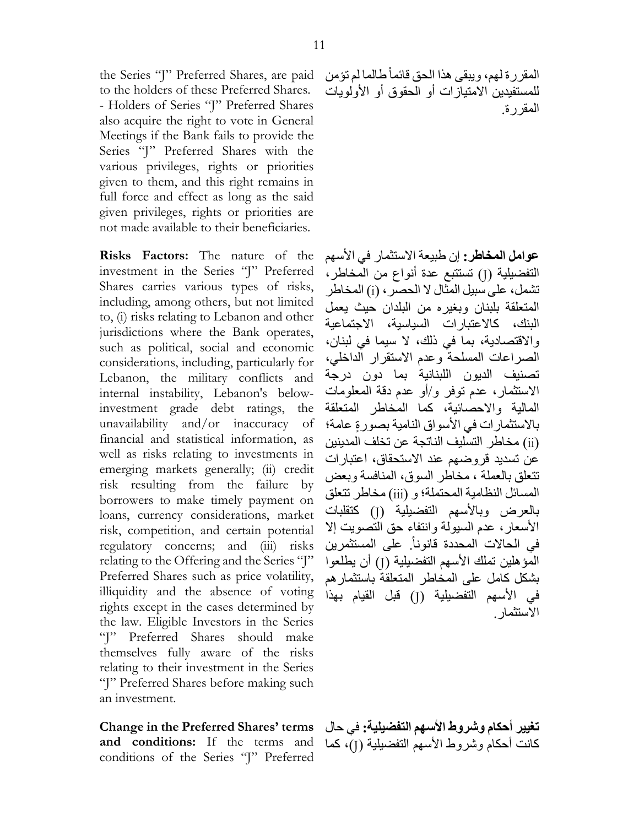the Series "J" Preferred Shares, are paid to the holders of these Preferred Shares. - Holders of Series "J" Preferred Shares also acquire the right to vote in General Meetings if the Bank fails to provide the Series "J" Preferred Shares with the various privileges, rights or priorities given to them, and this right remains in full force and effect as long as the said given privileges, rights or priorities are not made available to their beneficiaries.

**Risks Factors:** The nature of the investment in the Series "J" Preferred Shares carries various types of risks, including, among others, but not limited to, (i) risks relating to Lebanon and other jurisdictions where the Bank operates, such as political, social and economic considerations, including, particularly for Lebanon, the military conflicts and internal instability, Lebanon's belowinvestment grade debt ratings, the unavailability and/or inaccuracy of financial and statistical information, as well as risks relating to investments in emerging markets generally; (ii) credit risk resulting from the failure by borrowers to make timely payment on loans, currency considerations, market risk, competition, and certain potential regulatory concerns; and (iii) risks relating to the Offering and the Series "J" Preferred Shares such as price volatility, illiquidity and the absence of voting rights except in the cases determined by the law. Eligible Investors in the Series "J" Preferred Shares should make themselves fully aware of the risks relating to their investment in the Series "J" Preferred Shares before making such an investment.

**Change in the Preferred Shares' terms** a**nd conditions:** If the terms and مكانت أحكام وشروط الأسهم التفضيلية (J)، كما conditions of the Series "J" Preferred

المقر ر ة لهم، و يبقى هذا الحق قائماً طالما لم تؤمن للمستفيدين الامتياز ات أو الحقوق أو الأولويات المقررة.

**عوامل المخاطر:** إن طبيعة االستثمار في األسهم التفضيلية (J) تستتبع عدة أنواع من المخاطر، تشمل، على سبيل المثال ال الحصر، )i )المخاطر المتعلقة بلبنان وبغيره من البلدان حيث يعمل البنك، كاالعتبارات السياسية، االجتماعية واالقتصادية، بما في ذلك، ال سيما في لبنان، الصراعات المسلحة وعدم االستقرار الداخلي، تصنيف الديون اللبنانية بما دون درجة االستثمار، عدم توفر و/أو عدم دقة المعلومات المالية واالحصائية، كما المخاطر المتعلقة بالاستثمار ات في الأسواق النامية بصورةٍ عامة؛ )ii )مخاطر التسليف الناتجة عن تخلف المدينين عن تسديد قر وضبهم عند الاستحقاق، اعتبار ات تتعلق بالعملة ، مخاطر السوق، المنافسة وبعض المسائل النظامية المحتملة؛ و )iii )مخاطر تتعلق بالعرض وبالأسهم التفضيلية (J) كتقلبات األسعار، عدم السيولة وانتفاء حق التصويت إال في الحالات المحددة قانوناً. على المستثمرين المَوْهلين تملك الأسهم التفضيلية (J) أن يطلعوا بشكل كامل على المخاطر المتعلقة باستثمارهم في الأسهم التفضيلية (J) قبل القيام بهذا االستثمار.

**تغيير أحكام وشروط األسهم التفضيلية:** في حال